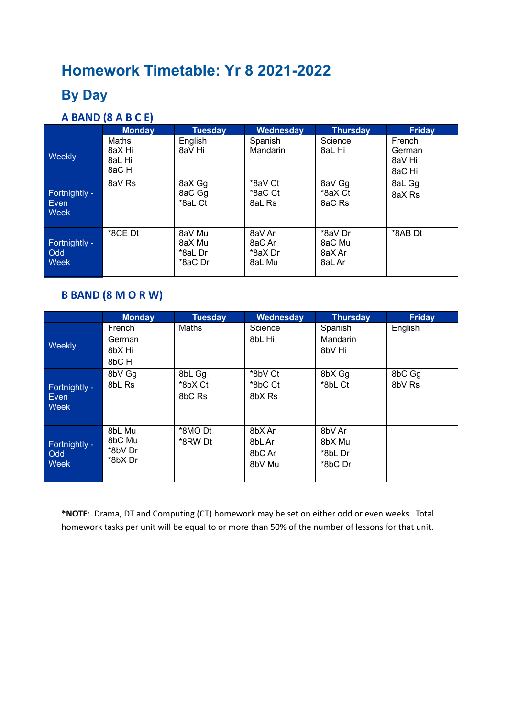# **Homework Timetable: Yr 8 2021-2022**

### **By Day**

#### **A BAND (8 A B C E)**

|                                            | <b>Monday</b>                       | <b>Tuesday</b>                         | Wednesday                             | <b>Thursday</b>                       | <b>Friday</b>                        |
|--------------------------------------------|-------------------------------------|----------------------------------------|---------------------------------------|---------------------------------------|--------------------------------------|
| Weekly                                     | Maths<br>8aX Hi<br>8aL Hi<br>8aC Hi | English<br>8aV Hi                      | Spanish<br><b>Mandarin</b>            | Science<br>8aL Hi                     | French<br>German<br>8aV Hi<br>8aC Hi |
| Fortnightly -<br>Even<br><b>Week</b>       | 8aV Rs                              | 8aX Gg<br>8aC Gg<br>*8aL Ct            | *8aV Ct<br>*8aC Ct<br>8aL Rs          | 8aV Gg<br>*8aX Ct<br>8aC Rs           | 8aL Gg<br>8aX Rs                     |
| Fortnightly -<br><b>Odd</b><br><b>Week</b> | *8CE Dt                             | 8aV Mu<br>8aX Mu<br>*8aL Dr<br>*8aC Dr | 8aV Ar<br>8aC Ar<br>*8aX Dr<br>8aL Mu | *8aV Dr<br>8aC Mu<br>8aX Ar<br>8aL Ar | *8AB Dt                              |

#### **B BAND (8 M O R W)**

|                                      | <b>Monday</b>                          | <b>Tuesday</b>              | Wednesday                            | <b>Thursday</b>                        | <b>Friday</b>    |
|--------------------------------------|----------------------------------------|-----------------------------|--------------------------------------|----------------------------------------|------------------|
| <b>Weekly</b>                        | French<br>German<br>8bX Hi<br>8bC Hi   | Maths                       | Science<br>8bL Hi                    | Spanish<br>Mandarin<br>8bV Hi          | English          |
| Fortnightly -<br>Even<br><b>Week</b> | 8bV Gg<br>8bL Rs                       | 8bL Gg<br>*8bX Ct<br>8bC Rs | *8bV Ct<br>*8bC Ct<br>8bX Rs         | 8bX Gg<br>*8bL Ct                      | 8bC Gg<br>8bV Rs |
| Fortnightly -<br>Odd<br><b>Week</b>  | 8bL Mu<br>8bC Mu<br>*8bV Dr<br>*8bX Dr | *8MO Dt<br>*8RW Dt          | 8bX Ar<br>8bL Ar<br>8bC Ar<br>8bV Mu | 8bV Ar<br>8bX Mu<br>*8bL Dr<br>*8bC Dr |                  |

**\*NOTE**: Drama, DT and Computing (CT) homework may be set on either odd or even weeks. Total homework tasks per unit will be equal to or more than 50% of the number of lessons for that unit.